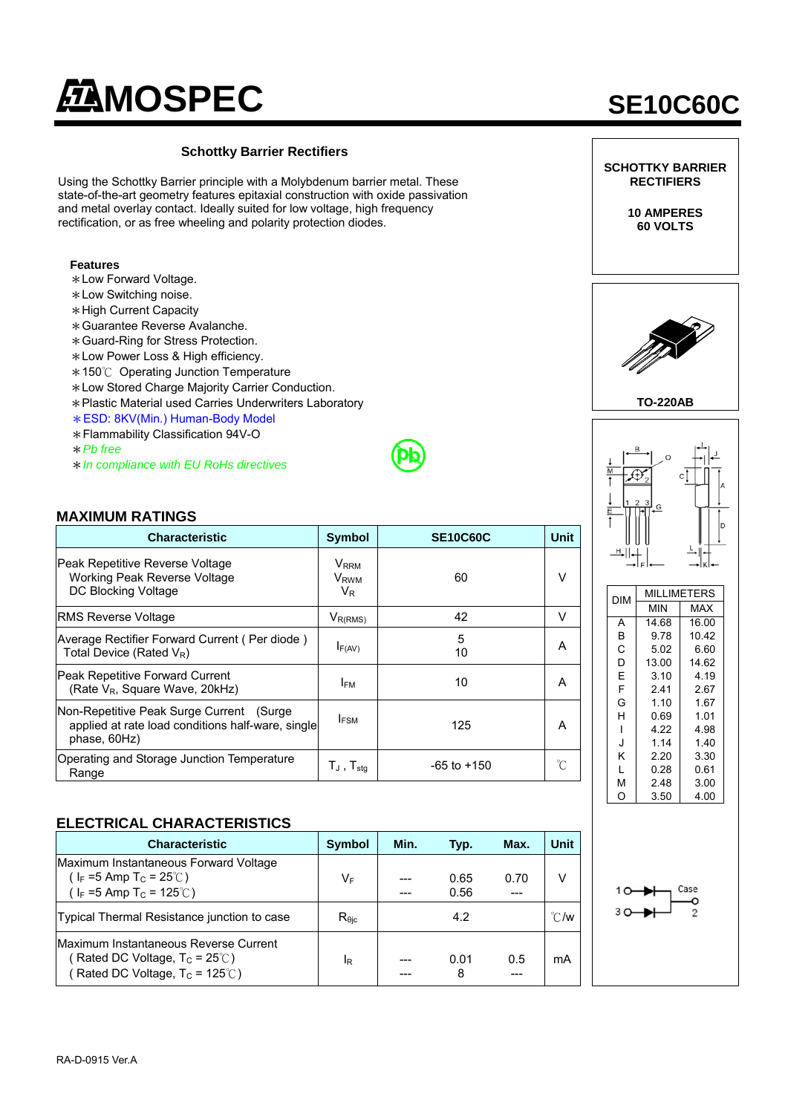# **MOSPEC** SE10C60C

## **Schottky Barrier Rectifiers**  Using the Schottky Barrier principle with a Molybdenum barrier metal. These state-of-the-art geometry features epitaxial construction with oxide passivation and metal overlay contact. Ideally suited for low voltage, high frequency rectification, or as free wheeling and polarity protection diodes. **Features**  \*Low Forward Voltage. \*Low Switching noise. \*High Current Capacity \*Guarantee Reverse Avalanche. \*Guard-Ring for Stress Protection. \*Low Power Loss & High efficiency. \*150℃ Operating Junction Temperature \*Low Stored Charge Majority Carrier Conduction. \*Plastic Material used Carries Underwriters Laboratory \*ESD: 8KV(Min.) Human-Body Model \*Flammability Classification 94V-O \**Pb free*  \**In compliance with EU RoHs directives* **MAXIMUM RATINGS Characteristic Symbol SE10C60C** Unit Peak Repetitive Reverse Voltage Working Peak Reverse Voltage DC Blocking Voltage **V**RRM **V**<sub>RWM</sub> .<br>V<sub>R</sub> 60 V RMS Reverse Voltage  $\vert$   $V_{R(RMS)}$   $\vert$  42  $\vert$  V Average Rectifier Forward Current ( Per diode ) Total Device (Rated  $V_R$ ) Total Device (Rated  $V_R$ ) 5  $\begin{array}{c|c} 10 & \end{array}$  A Peak Repetitive Forward Current eak Repetitive Forward Current<br>(Rate V<sub>R</sub>, Square Wave, 20kHz) **IFM** 10 A Non-Repetitive Peak Surge Current (Surge applied at rate load conditions half-ware, single phase, 60Hz)  $I_{FSM}$  125 A Operating and Storage Junction Temperature  $\begin{array}{|c|c|c|c|c|}\n\hline\n\text{Range} & & & \tau_{\mathsf{J}} \text{, } \tau_{\mathsf{stg}} & & \text{-65 to +150} \\
\hline\n\end{array}$ **ELECTRICAL CHARACTERISTICS Characteristic Symbol Min. Typ. Max. Unit SCHOTTKY BARRIER RECTIFIERS 10 AMPERES 60 VOLTS TO-220AB**  DIM MILLIMETERS  $MIN$ A 14.68 16.00 B 9.78 10.42  $\begin{array}{|c|c|c|c|c|c|} \hline C & 5.02 & 6.60 \\ \hline D & 13.00 & 14.62 \end{array}$  $13.00$  $E = \begin{bmatrix} 3.10 & 4.19 \\ 2.41 & 2.67 \end{bmatrix}$  $F = \begin{array}{|c|c|c|} 2.41 & 2.67 \\ 1.10 & 1.67 \end{array}$  $1.10$  1.67 H 0.69 1.01  $1 \t 4.22 \t 4.98$ J 1.14 1.40 K 2.20 3.30 L 0.28 0.61 M 2.48 3.00 O 3.50 4.00

| Characteristic                                                                                                                              | <b>Symbol</b>  | Min. | Typ.         | Max. | Unit          |
|---------------------------------------------------------------------------------------------------------------------------------------------|----------------|------|--------------|------|---------------|
| Maximum Instantaneous Forward Voltage<br>( $I_F = 5$ Amp T <sub>C</sub> = 25°C)<br>( $I_F = 5$ Amp T <sub>C</sub> = 125°C)                  | VF             |      | 0.65<br>0.56 | 0.70 | v             |
| Typical Thermal Resistance junction to case                                                                                                 | $R_{\theta$ ic |      | 4.2          |      | $\degree$ C/w |
| <b>IMaximum Instantaneous Reverse Current</b><br>(Rated DC Voltage, $T_c = 25^{\circ}$ C)<br>(Rated DC Voltage, $T_c = 125^\circ\text{C}$ ) | IR             |      | 0.01<br>8    | 0.5  | mA            |



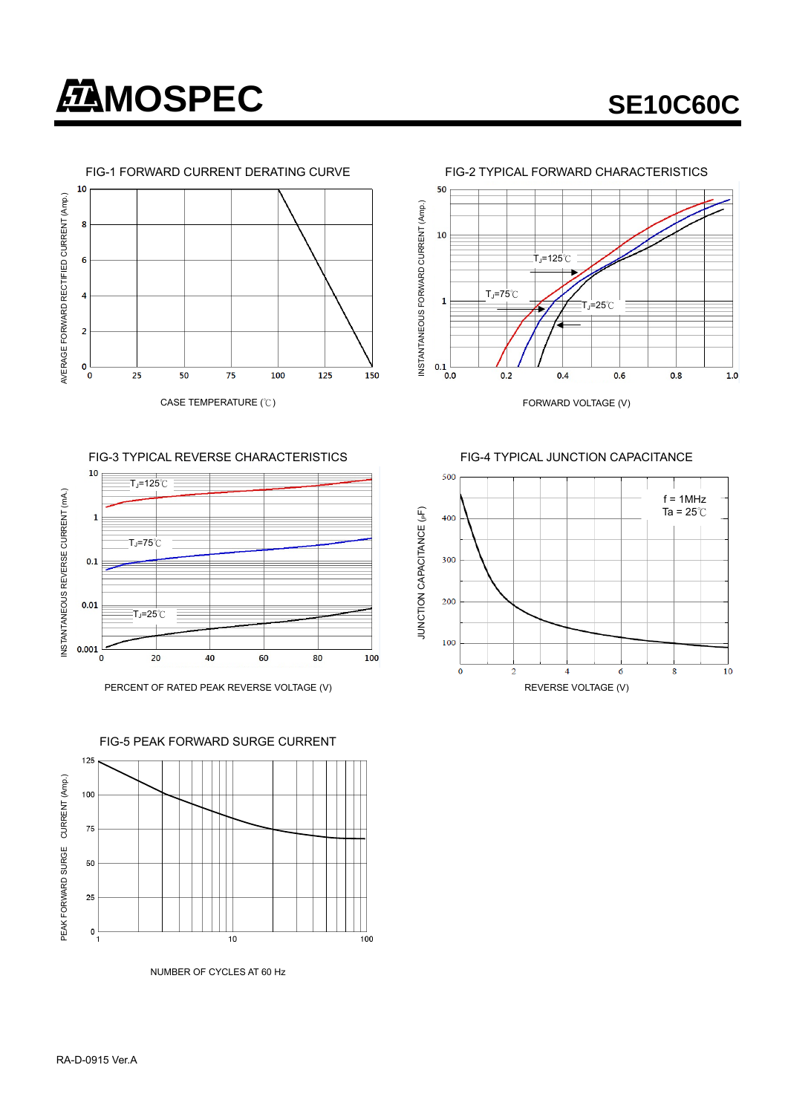





FIG-3 TYPICAL REVERSE CHARACTERISTICS FIG-4 TYPICAL JUNCTION CAPACITANCE









NUMBER OF CYCLES AT 60 Hz

FIG-5 PEAK FORWARD SURGE CURRENT